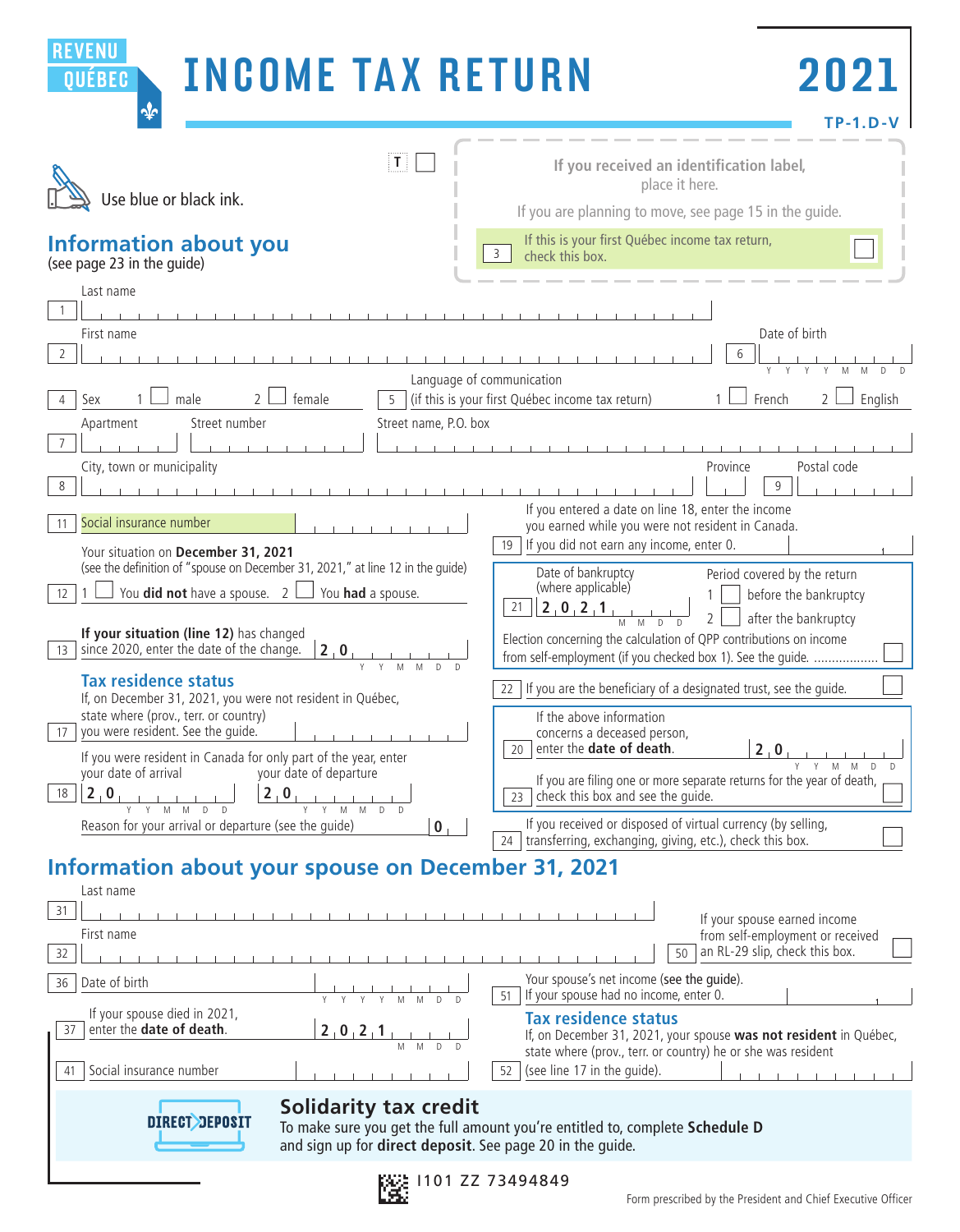| <b>REVENU</b><br><b>INCOME TAX RETURN</b><br>QUÉBEC<br>$\clubsuit$                                                                                                                                                                                                                                                                                  | 2021<br>$TP-1.D-V$                                                                                                                                                                                                                                                                                              |
|-----------------------------------------------------------------------------------------------------------------------------------------------------------------------------------------------------------------------------------------------------------------------------------------------------------------------------------------------------|-----------------------------------------------------------------------------------------------------------------------------------------------------------------------------------------------------------------------------------------------------------------------------------------------------------------|
| $\mathbf{T}$<br>Use blue or black ink.                                                                                                                                                                                                                                                                                                              | If you received an identification label,<br>place it here.<br>If you are planning to move, see page 15 in the quide.                                                                                                                                                                                            |
| Information about you<br>(see page 23 in the guide)                                                                                                                                                                                                                                                                                                 | If this is your first Québec income tax return,<br>3<br>check this box.                                                                                                                                                                                                                                         |
| Last name                                                                                                                                                                                                                                                                                                                                           |                                                                                                                                                                                                                                                                                                                 |
| First name<br>2                                                                                                                                                                                                                                                                                                                                     | Date of birth                                                                                                                                                                                                                                                                                                   |
| Language of communication<br>female<br>male<br>$\overline{5}$<br>Sex                                                                                                                                                                                                                                                                                | (if this is your first Québec income tax return)<br>French<br>English                                                                                                                                                                                                                                           |
| Street number<br>Street name, P.O. box<br>Apartment<br>$7\overline{ }$                                                                                                                                                                                                                                                                              |                                                                                                                                                                                                                                                                                                                 |
| City, town or municipality                                                                                                                                                                                                                                                                                                                          | Postal code<br>Province<br>$\mathsf{Q}$                                                                                                                                                                                                                                                                         |
| Social insurance number<br>11<br>Your situation on December 31, 2021                                                                                                                                                                                                                                                                                | If you entered a date on line 18, enter the income<br>you earned while you were not resident in Canada.<br>If you did not earn any income, enter 0.<br>19                                                                                                                                                       |
| (see the definition of "spouse on December 31, 2021," at line 12 in the quide)<br>You <b>did not</b> have a spouse. $2 \mid$<br>You had a spouse.<br>$12 \overline{ }$<br>If your situation (line 12) has changed                                                                                                                                   | Date of bankruptcy<br>Period covered by the return<br>(where applicable)<br>before the bankruptcy<br>$\vert 2, 0, 2, 1 \vert$<br>21 <sup>1</sup><br>after the bankruptcy<br>$\overline{2}$<br>Election concerning the calculation of QPP contributions on income                                                |
| since 2020, enter the date of the change.<br>2.0<br>$13-1$<br>Y<br>M<br><b>Tax residence status</b>                                                                                                                                                                                                                                                 | from self-employment (if you checked box 1). See the guide.                                                                                                                                                                                                                                                     |
| If, on December 31, 2021, you were not resident in Québec,<br>state where (prov., terr. or country)<br>you were resident. See the guide.<br>17 <sup>2</sup><br>If you were resident in Canada for only part of the year, enter<br>your date of arrival<br>your date of departure<br>18<br>2.0<br>$2 \nvert 0 \nvert$<br>and the company of the com- | If you are the beneficiary of a designated trust, see the quide.<br>$22 -$<br>If the above information<br>concerns a deceased person,<br>$ 2_0$<br>20 enter the <b>date of death</b> .<br>If you are filing one or more separate returns for the year of death,<br>23 $\vert$ check this box and see the quide. |
| M M D D<br>Y M M D D<br>Reason for your arrival or departure (see the guide)<br>$\bf{0}$                                                                                                                                                                                                                                                            | If you received or disposed of virtual currency (by selling,<br>transferring, exchanging, giving, etc.), check this box.<br>24                                                                                                                                                                                  |
| <b>Information about your spouse on December 31, 2021</b><br>Last name                                                                                                                                                                                                                                                                              |                                                                                                                                                                                                                                                                                                                 |
| 31<br>First name<br>32                                                                                                                                                                                                                                                                                                                              | If your spouse earned income<br>from self-employment or received<br>an RL-29 slip, check this box.<br>50                                                                                                                                                                                                        |
| Date of birth<br>36<br>Y Y Y Y M M D                                                                                                                                                                                                                                                                                                                | Your spouse's net income (see the guide).<br>If your spouse had no income, enter 0.<br>51                                                                                                                                                                                                                       |
| If your spouse died in 2021,<br>enter the date of death.<br>37<br>2, 0, 2, 1,<br>Social insurance number<br>41                                                                                                                                                                                                                                      | <b>Tax residence status</b><br>If, on December 31, 2021, your spouse was not resident in Québec,<br>state where (prov., terr. or country) he or she was resident<br>(see line 17 in the guide).<br>52                                                                                                           |
| <b>Solidarity tax credit</b><br><b>DIRECT DEPOSIT</b><br>and sign up for direct deposit. See page 20 in the guide.                                                                                                                                                                                                                                  | To make sure you get the full amount you're entitled to, complete Schedule D                                                                                                                                                                                                                                    |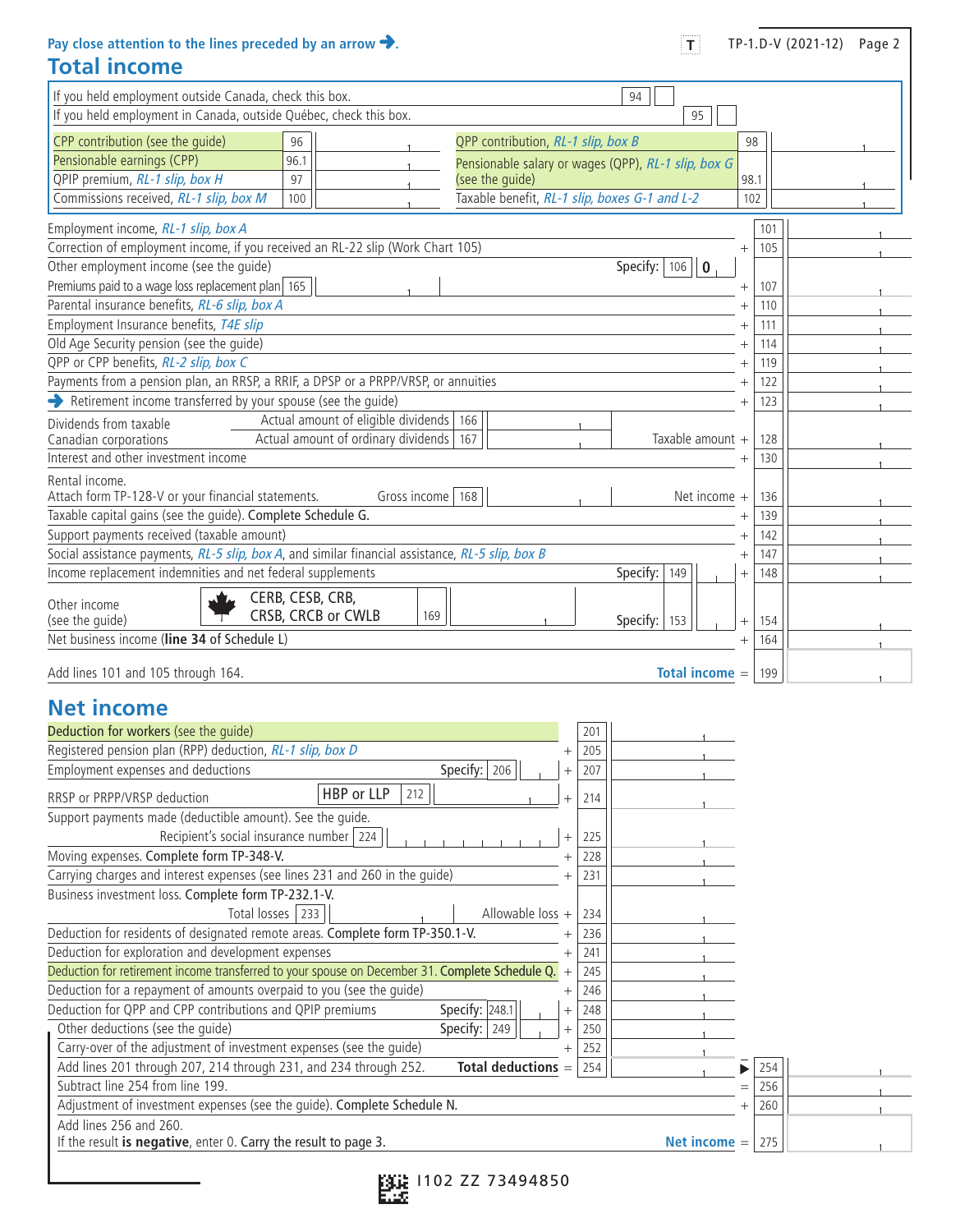**Pay close attention to the lines preceded by an arrow . Total income**

| <br>TI | TP-1.D-V (2021-12) | Page 2 |
|--------|--------------------|--------|
|--------|--------------------|--------|

| If you held employment outside Canada, check this box.<br>94                                        |        |      |  |
|-----------------------------------------------------------------------------------------------------|--------|------|--|
| If you held employment in Canada, outside Québec, check this box.<br>95                             |        |      |  |
|                                                                                                     |        |      |  |
| CPP contribution (see the quide)<br>QPP contribution, RL-1 slip, box B<br>96                        |        | 98   |  |
| Pensionable earnings (CPP)<br>96.1<br>Pensionable salary or wages (QPP), RL-1 slip, box G           |        |      |  |
| QPIP premium, RL-1 slip, box H<br>97<br>(see the guide)                                             |        | 98.1 |  |
| Taxable benefit, RL-1 slip, boxes G-1 and L-2<br>Commissions received, RL-1 slip, box M<br>100      |        | 102  |  |
| Employment income, RL-1 slip, box A                                                                 |        | 101  |  |
| Correction of employment income, if you received an RL-22 slip (Work Chart 105)                     | $^{+}$ | 105  |  |
| Other employment income (see the quide)<br>Specify:<br>106<br>$\overline{\mathbf{0}}$               |        |      |  |
| Premiums paid to a wage loss replacement plan 165                                                   | $^{+}$ | 107  |  |
| Parental insurance benefits, RL-6 slip, box A                                                       | $^{+}$ | 110  |  |
| Employment Insurance benefits, T4E slip                                                             |        | 111  |  |
| Old Age Security pension (see the guide)                                                            | $^{+}$ | 114  |  |
| QPP or CPP benefits, RL-2 slip, box C                                                               |        | 119  |  |
| Payments from a pension plan, an RRSP, a RRIF, a DPSP or a PRPP/VRSP, or annuities                  |        | 122  |  |
| Retirement income transferred by your spouse (see the guide)                                        | $^{+}$ | 123  |  |
| Actual amount of eligible dividends<br>166<br>Dividends from taxable                                |        |      |  |
| Actual amount of ordinary dividends<br>Taxable amount +<br>Canadian corporations<br>167             |        | 128  |  |
| Interest and other investment income                                                                |        | 130  |  |
| Rental income.                                                                                      |        |      |  |
| Attach form TP-128-V or your financial statements.<br>Gross income   168<br>Net income $+$          |        | 136  |  |
| Taxable capital gains (see the quide). Complete Schedule G.                                         |        |      |  |
| Support payments received (taxable amount)                                                          | $^{+}$ | 142  |  |
| Social assistance payments, RL-5 slip, box A, and similar financial assistance, RL-5 slip, box B    |        | 147  |  |
| Income replacement indemnities and net federal supplements<br>Specify:<br>149                       | $+$    | 148  |  |
| CERB, CESB, CRB,<br>Other income<br>CRSB, CRCB or CWLB<br>169<br>(see the quide)<br>Specify:<br>153 | $+$    | 154  |  |
| Net business income (line 34 of Schedule L)                                                         | $^{+}$ | 164  |  |
| Add lines 101 and 105 through 164.<br>Total income $=$                                              |        | 199  |  |

## **Net income**

| Deduction for workers (see the quide)                                                           |        | 201 |                |     |  |  |
|-------------------------------------------------------------------------------------------------|--------|-----|----------------|-----|--|--|
| Registered pension plan (RPP) deduction, RL-1 slip, box D                                       |        | 205 |                |     |  |  |
| Specify:<br>Employment expenses and deductions<br>206                                           | $^{+}$ | 207 |                |     |  |  |
| HBP or LLP<br>212<br>RRSP or PRPP/VRSP deduction                                                | $^{+}$ | 214 |                |     |  |  |
| Support payments made (deductible amount). See the quide.                                       |        |     |                |     |  |  |
| Recipient's social insurance number   224                                                       | $^{+}$ | 225 |                |     |  |  |
| Moving expenses. Complete form TP-348-V.                                                        |        | 228 |                |     |  |  |
| Carrying charges and interest expenses (see lines 231 and 260 in the quide)                     |        | 231 |                |     |  |  |
| Business investment loss. Complete form TP-232.1-V.                                             |        |     |                |     |  |  |
| Total losses   233<br>Allowable loss $+$                                                        |        | 234 |                |     |  |  |
| Deduction for residents of designated remote areas. Complete form TP-350.1-V.                   |        | 236 |                |     |  |  |
| Deduction for exploration and development expenses                                              | $^{+}$ | 241 |                |     |  |  |
| Deduction for retirement income transferred to your spouse on December 31. Complete Schedule Q. | $^{+}$ | 245 |                |     |  |  |
| Deduction for a repayment of amounts overpaid to you (see the quide)                            | $^{+}$ | 246 |                |     |  |  |
| Deduction for QPP and CPP contributions and QPIP premiums<br>Specify: 248.1                     | $^{+}$ | 248 |                |     |  |  |
| Other deductions (see the quide)<br>Specify: $ 249$                                             | $^{+}$ | 250 |                |     |  |  |
| Carry-over of the adjustment of investment expenses (see the quide)                             |        | 252 |                |     |  |  |
| Add lines 201 through 207, 214 through 231, and 234 through 252.<br>Total deductions =          |        | 254 |                | 254 |  |  |
| Subtract line 254 from line 199.                                                                |        |     | $=$            | 256 |  |  |
| Adjustment of investment expenses (see the guide). Complete Schedule N.                         |        |     | $^{+}$         | 260 |  |  |
| Add lines 256 and 260.                                                                          |        |     |                |     |  |  |
| If the result is negative, enter 0. Carry the result to page 3.                                 |        |     | Net income $=$ | 275 |  |  |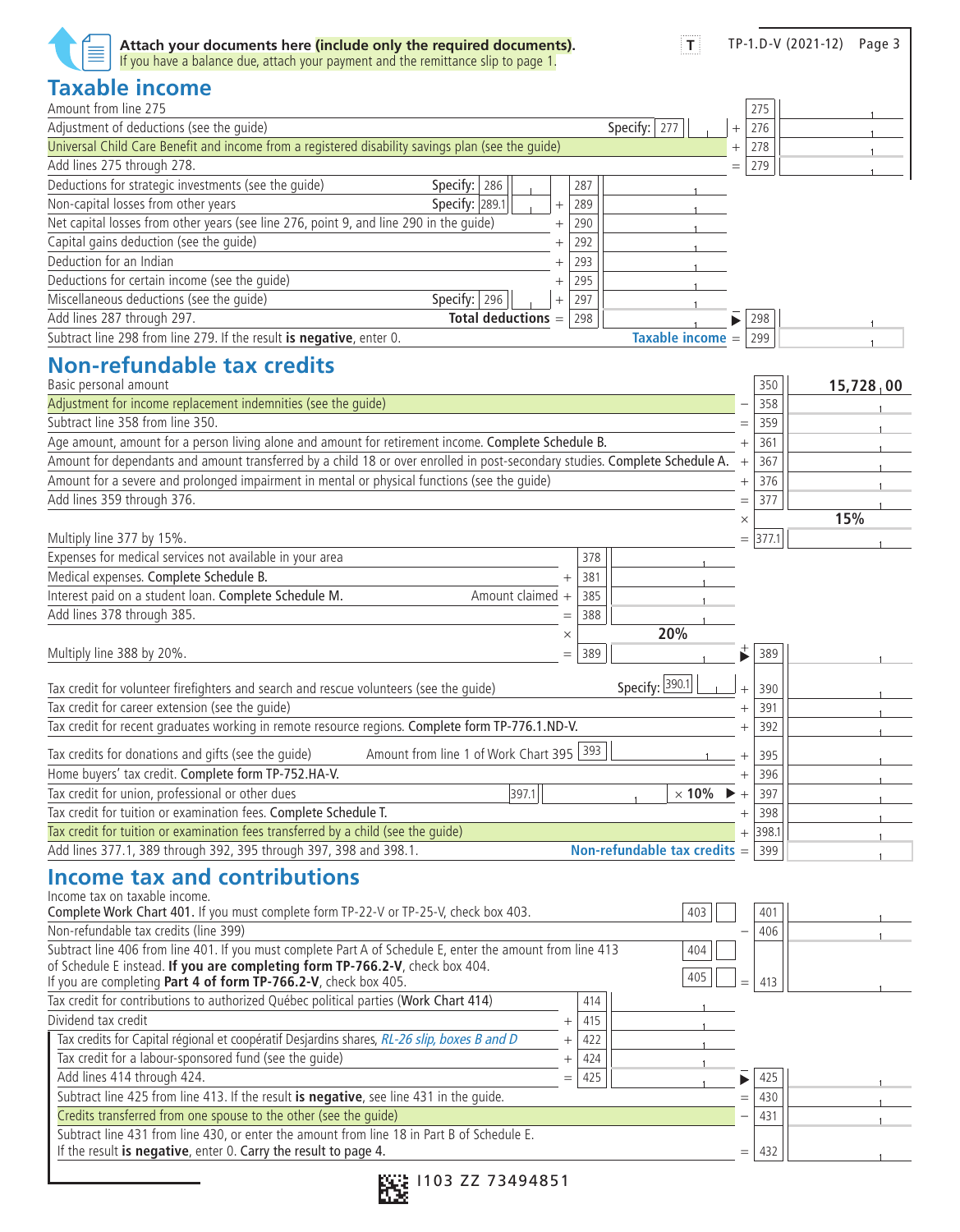| Taxable income<br>Amount from line 275<br>275<br>Specify: $ 277$<br>Adjustment of deductions (see the guide)<br>276<br>$^{+}$<br>Universal Child Care Benefit and income from a registered disability savings plan (see the guide)<br>278<br>$\ddot{}$<br>Add lines 275 through 278.<br>279<br>$=$<br>Deductions for strategic investments (see the guide)<br>Specify: $ 286$<br>287<br>Non-capital losses from other years<br>Specify: 289.1<br>289<br>$^{+}$<br>Net capital losses from other years (see line 276, point 9, and line 290 in the guide)<br>290<br>$^{+}$<br>Capital gains deduction (see the quide)<br>292<br>$^{+}$<br>Deduction for an Indian<br>293<br>$\overline{+}$<br>Deductions for certain income (see the guide)<br>295<br>$^{+}$<br>Miscellaneous deductions (see the quide)<br>Specify: $ 296 $<br>297<br>$^{+}$<br>Add lines 287 through 297.<br><b>Total deductions</b><br>298<br>298<br>$=$<br>Subtract line 298 from line 279. If the result is negative, enter 0.<br>Taxable income =<br>299<br><b>Non-refundable tax credits</b><br>Basic personal amount<br>350<br>15,728,00<br>Adjustment for income replacement indemnities (see the guide)<br>358<br>Subtract line 358 from line 350<br>359<br>$=$<br>Age amount, amount for a person living alone and amount for retirement income. Complete Schedule B.<br>361<br>$^{+}$<br>Amount for dependants and amount transferred by a child 18 or over enrolled in post-secondary studies. Complete Schedule A.<br>367<br>$^{+}$<br>Amount for a severe and prolonged impairment in mental or physical functions (see the quide)<br>376<br>$^{+}$<br>Add lines 359 through 376.<br>377<br>$=$<br>15%<br>$\times$<br>Multiply line 377 by 15%.<br>377.1<br>$=$<br>Expenses for medical services not available in your area<br>378<br>Medical expenses. Complete Schedule B.<br>381<br>Interest paid on a student loan. Complete Schedule M.<br>Amount claimed<br>385<br>$+$<br>Add lines 378 through 385.<br>388<br>$=$<br>20%<br>$\times$<br>389<br>Multiply line 388 by 20%.<br>389<br>$=$<br>Specify: 390.1<br>Tax credit for volunteer firefighters and search and rescue volunteers (see the guide)<br>390<br>$\ddot{}$<br>Tax credit for career extension (see the quide)<br>391<br>$^{+}$<br>Tax credit for recent graduates working in remote resource regions. Complete form TP-776.1.ND-V.<br>392<br>$^{+}$<br>Amount from line 1 of Work Chart 395 393<br>Tax credits for donations and gifts (see the guide)<br>395<br>$^+$<br>Home buyers' tax credit. Complete form TP-752.HA-V.<br>$\ddot{}$<br>396<br>Tax credit for union, professional or other dues<br> 397.1 <br>$\times$ 10%<br>397<br>$^{+}$<br>Tax credit for tuition or examination fees. Complete Schedule T.<br>398<br>$^{+}$<br>Tax credit for tuition or examination fees transferred by a child (see the quide)<br>398.1<br>$^{+}$<br>Add lines 377.1, 389 through 392, 395 through 397, 398 and 398.1.<br>Non-refundable tax credits $=$ 399<br><b>Income tax and contributions</b><br>Income tax on taxable income.<br>Complete Work Chart 401. If you must complete form TP-22-V or TP-25-V, check box 403.<br>403<br>401<br>Non-refundable tax credits (line 399)<br>406<br>Subtract line 406 from line 401. If you must complete Part A of Schedule E, enter the amount from line 413<br>404<br>of Schedule E instead. If you are completing form TP-766.2-V, check box 404.<br>405<br>If you are completing Part 4 of form TP-766.2-V, check box 405.<br>413<br>Tax credit for contributions to authorized Québec political parties (Work Chart 414)<br>414<br>Dividend tax credit<br>415<br>$^{+}$<br>Tax credits for Capital régional et coopératif Desjardins shares, RL-26 slip, boxes B and D<br>422<br>$^{+}$<br>Tax credit for a labour-sponsored fund (see the quide)<br>424<br>$^{+}$<br>Add lines 414 through 424.<br>425<br>425<br>$=$<br>Subtract line 425 from line 413. If the result is negative, see line 431 in the guide.<br>430<br>$=$<br>Credits transferred from one spouse to the other (see the quide)<br>431<br>Subtract line 431 from line 430, or enter the amount from line 18 in Part B of Schedule E.<br>If the result is negative, enter 0. Carry the result to page 4.<br>432<br>$=$ | Attach your documents here (include only the required documents).<br>If you have a balance due, attach your payment and the remittance slip to page 1. | $ \mathsf{T} $ |  | TP-1.D-V (2021-12) Page 3 |
|---------------------------------------------------------------------------------------------------------------------------------------------------------------------------------------------------------------------------------------------------------------------------------------------------------------------------------------------------------------------------------------------------------------------------------------------------------------------------------------------------------------------------------------------------------------------------------------------------------------------------------------------------------------------------------------------------------------------------------------------------------------------------------------------------------------------------------------------------------------------------------------------------------------------------------------------------------------------------------------------------------------------------------------------------------------------------------------------------------------------------------------------------------------------------------------------------------------------------------------------------------------------------------------------------------------------------------------------------------------------------------------------------------------------------------------------------------------------------------------------------------------------------------------------------------------------------------------------------------------------------------------------------------------------------------------------------------------------------------------------------------------------------------------------------------------------------------------------------------------------------------------------------------------------------------------------------------------------------------------------------------------------------------------------------------------------------------------------------------------------------------------------------------------------------------------------------------------------------------------------------------------------------------------------------------------------------------------------------------------------------------------------------------------------------------------------------------------------------------------------------------------------------------------------------------------------------------------------------------------------------------------------------------------------------------------------------------------------------------------------------------------------------------------------------------------------------------------------------------------------------------------------------------------------------------------------------------------------------------------------------------------------------------------------------------------------------------------------------------------------------------------------------------------------------------------------------------------------------------------------------------------------------------------------------------------------------------------------------------------------------------------------------------------------------------------------------------------------------------------------------------------------------------------------------------------------------------------------------------------------------------------------------------------------------------------------------------------------------------------------------------------------------------------------------------------------------------------------------------------------------------------------------------------------------------------------------------------------------------------------------------------------------------------------------------------------------------------------------------------------------------------------------------------------------------------------------------------------------------------------------------------------------------------|--------------------------------------------------------------------------------------------------------------------------------------------------------|----------------|--|---------------------------|
|                                                                                                                                                                                                                                                                                                                                                                                                                                                                                                                                                                                                                                                                                                                                                                                                                                                                                                                                                                                                                                                                                                                                                                                                                                                                                                                                                                                                                                                                                                                                                                                                                                                                                                                                                                                                                                                                                                                                                                                                                                                                                                                                                                                                                                                                                                                                                                                                                                                                                                                                                                                                                                                                                                                                                                                                                                                                                                                                                                                                                                                                                                                                                                                                                                                                                                                                                                                                                                                                                                                                                                                                                                                                                                                                                                                                                                                                                                                                                                                                                                                                                                                                                                                                                                                                                       |                                                                                                                                                        |                |  |                           |
|                                                                                                                                                                                                                                                                                                                                                                                                                                                                                                                                                                                                                                                                                                                                                                                                                                                                                                                                                                                                                                                                                                                                                                                                                                                                                                                                                                                                                                                                                                                                                                                                                                                                                                                                                                                                                                                                                                                                                                                                                                                                                                                                                                                                                                                                                                                                                                                                                                                                                                                                                                                                                                                                                                                                                                                                                                                                                                                                                                                                                                                                                                                                                                                                                                                                                                                                                                                                                                                                                                                                                                                                                                                                                                                                                                                                                                                                                                                                                                                                                                                                                                                                                                                                                                                                                       |                                                                                                                                                        |                |  |                           |
|                                                                                                                                                                                                                                                                                                                                                                                                                                                                                                                                                                                                                                                                                                                                                                                                                                                                                                                                                                                                                                                                                                                                                                                                                                                                                                                                                                                                                                                                                                                                                                                                                                                                                                                                                                                                                                                                                                                                                                                                                                                                                                                                                                                                                                                                                                                                                                                                                                                                                                                                                                                                                                                                                                                                                                                                                                                                                                                                                                                                                                                                                                                                                                                                                                                                                                                                                                                                                                                                                                                                                                                                                                                                                                                                                                                                                                                                                                                                                                                                                                                                                                                                                                                                                                                                                       |                                                                                                                                                        |                |  |                           |
|                                                                                                                                                                                                                                                                                                                                                                                                                                                                                                                                                                                                                                                                                                                                                                                                                                                                                                                                                                                                                                                                                                                                                                                                                                                                                                                                                                                                                                                                                                                                                                                                                                                                                                                                                                                                                                                                                                                                                                                                                                                                                                                                                                                                                                                                                                                                                                                                                                                                                                                                                                                                                                                                                                                                                                                                                                                                                                                                                                                                                                                                                                                                                                                                                                                                                                                                                                                                                                                                                                                                                                                                                                                                                                                                                                                                                                                                                                                                                                                                                                                                                                                                                                                                                                                                                       |                                                                                                                                                        |                |  |                           |
|                                                                                                                                                                                                                                                                                                                                                                                                                                                                                                                                                                                                                                                                                                                                                                                                                                                                                                                                                                                                                                                                                                                                                                                                                                                                                                                                                                                                                                                                                                                                                                                                                                                                                                                                                                                                                                                                                                                                                                                                                                                                                                                                                                                                                                                                                                                                                                                                                                                                                                                                                                                                                                                                                                                                                                                                                                                                                                                                                                                                                                                                                                                                                                                                                                                                                                                                                                                                                                                                                                                                                                                                                                                                                                                                                                                                                                                                                                                                                                                                                                                                                                                                                                                                                                                                                       |                                                                                                                                                        |                |  |                           |
|                                                                                                                                                                                                                                                                                                                                                                                                                                                                                                                                                                                                                                                                                                                                                                                                                                                                                                                                                                                                                                                                                                                                                                                                                                                                                                                                                                                                                                                                                                                                                                                                                                                                                                                                                                                                                                                                                                                                                                                                                                                                                                                                                                                                                                                                                                                                                                                                                                                                                                                                                                                                                                                                                                                                                                                                                                                                                                                                                                                                                                                                                                                                                                                                                                                                                                                                                                                                                                                                                                                                                                                                                                                                                                                                                                                                                                                                                                                                                                                                                                                                                                                                                                                                                                                                                       |                                                                                                                                                        |                |  |                           |
|                                                                                                                                                                                                                                                                                                                                                                                                                                                                                                                                                                                                                                                                                                                                                                                                                                                                                                                                                                                                                                                                                                                                                                                                                                                                                                                                                                                                                                                                                                                                                                                                                                                                                                                                                                                                                                                                                                                                                                                                                                                                                                                                                                                                                                                                                                                                                                                                                                                                                                                                                                                                                                                                                                                                                                                                                                                                                                                                                                                                                                                                                                                                                                                                                                                                                                                                                                                                                                                                                                                                                                                                                                                                                                                                                                                                                                                                                                                                                                                                                                                                                                                                                                                                                                                                                       |                                                                                                                                                        |                |  |                           |
|                                                                                                                                                                                                                                                                                                                                                                                                                                                                                                                                                                                                                                                                                                                                                                                                                                                                                                                                                                                                                                                                                                                                                                                                                                                                                                                                                                                                                                                                                                                                                                                                                                                                                                                                                                                                                                                                                                                                                                                                                                                                                                                                                                                                                                                                                                                                                                                                                                                                                                                                                                                                                                                                                                                                                                                                                                                                                                                                                                                                                                                                                                                                                                                                                                                                                                                                                                                                                                                                                                                                                                                                                                                                                                                                                                                                                                                                                                                                                                                                                                                                                                                                                                                                                                                                                       |                                                                                                                                                        |                |  |                           |
|                                                                                                                                                                                                                                                                                                                                                                                                                                                                                                                                                                                                                                                                                                                                                                                                                                                                                                                                                                                                                                                                                                                                                                                                                                                                                                                                                                                                                                                                                                                                                                                                                                                                                                                                                                                                                                                                                                                                                                                                                                                                                                                                                                                                                                                                                                                                                                                                                                                                                                                                                                                                                                                                                                                                                                                                                                                                                                                                                                                                                                                                                                                                                                                                                                                                                                                                                                                                                                                                                                                                                                                                                                                                                                                                                                                                                                                                                                                                                                                                                                                                                                                                                                                                                                                                                       |                                                                                                                                                        |                |  |                           |
|                                                                                                                                                                                                                                                                                                                                                                                                                                                                                                                                                                                                                                                                                                                                                                                                                                                                                                                                                                                                                                                                                                                                                                                                                                                                                                                                                                                                                                                                                                                                                                                                                                                                                                                                                                                                                                                                                                                                                                                                                                                                                                                                                                                                                                                                                                                                                                                                                                                                                                                                                                                                                                                                                                                                                                                                                                                                                                                                                                                                                                                                                                                                                                                                                                                                                                                                                                                                                                                                                                                                                                                                                                                                                                                                                                                                                                                                                                                                                                                                                                                                                                                                                                                                                                                                                       |                                                                                                                                                        |                |  |                           |
|                                                                                                                                                                                                                                                                                                                                                                                                                                                                                                                                                                                                                                                                                                                                                                                                                                                                                                                                                                                                                                                                                                                                                                                                                                                                                                                                                                                                                                                                                                                                                                                                                                                                                                                                                                                                                                                                                                                                                                                                                                                                                                                                                                                                                                                                                                                                                                                                                                                                                                                                                                                                                                                                                                                                                                                                                                                                                                                                                                                                                                                                                                                                                                                                                                                                                                                                                                                                                                                                                                                                                                                                                                                                                                                                                                                                                                                                                                                                                                                                                                                                                                                                                                                                                                                                                       |                                                                                                                                                        |                |  |                           |
|                                                                                                                                                                                                                                                                                                                                                                                                                                                                                                                                                                                                                                                                                                                                                                                                                                                                                                                                                                                                                                                                                                                                                                                                                                                                                                                                                                                                                                                                                                                                                                                                                                                                                                                                                                                                                                                                                                                                                                                                                                                                                                                                                                                                                                                                                                                                                                                                                                                                                                                                                                                                                                                                                                                                                                                                                                                                                                                                                                                                                                                                                                                                                                                                                                                                                                                                                                                                                                                                                                                                                                                                                                                                                                                                                                                                                                                                                                                                                                                                                                                                                                                                                                                                                                                                                       |                                                                                                                                                        |                |  |                           |
|                                                                                                                                                                                                                                                                                                                                                                                                                                                                                                                                                                                                                                                                                                                                                                                                                                                                                                                                                                                                                                                                                                                                                                                                                                                                                                                                                                                                                                                                                                                                                                                                                                                                                                                                                                                                                                                                                                                                                                                                                                                                                                                                                                                                                                                                                                                                                                                                                                                                                                                                                                                                                                                                                                                                                                                                                                                                                                                                                                                                                                                                                                                                                                                                                                                                                                                                                                                                                                                                                                                                                                                                                                                                                                                                                                                                                                                                                                                                                                                                                                                                                                                                                                                                                                                                                       |                                                                                                                                                        |                |  |                           |
|                                                                                                                                                                                                                                                                                                                                                                                                                                                                                                                                                                                                                                                                                                                                                                                                                                                                                                                                                                                                                                                                                                                                                                                                                                                                                                                                                                                                                                                                                                                                                                                                                                                                                                                                                                                                                                                                                                                                                                                                                                                                                                                                                                                                                                                                                                                                                                                                                                                                                                                                                                                                                                                                                                                                                                                                                                                                                                                                                                                                                                                                                                                                                                                                                                                                                                                                                                                                                                                                                                                                                                                                                                                                                                                                                                                                                                                                                                                                                                                                                                                                                                                                                                                                                                                                                       |                                                                                                                                                        |                |  |                           |
|                                                                                                                                                                                                                                                                                                                                                                                                                                                                                                                                                                                                                                                                                                                                                                                                                                                                                                                                                                                                                                                                                                                                                                                                                                                                                                                                                                                                                                                                                                                                                                                                                                                                                                                                                                                                                                                                                                                                                                                                                                                                                                                                                                                                                                                                                                                                                                                                                                                                                                                                                                                                                                                                                                                                                                                                                                                                                                                                                                                                                                                                                                                                                                                                                                                                                                                                                                                                                                                                                                                                                                                                                                                                                                                                                                                                                                                                                                                                                                                                                                                                                                                                                                                                                                                                                       |                                                                                                                                                        |                |  |                           |
|                                                                                                                                                                                                                                                                                                                                                                                                                                                                                                                                                                                                                                                                                                                                                                                                                                                                                                                                                                                                                                                                                                                                                                                                                                                                                                                                                                                                                                                                                                                                                                                                                                                                                                                                                                                                                                                                                                                                                                                                                                                                                                                                                                                                                                                                                                                                                                                                                                                                                                                                                                                                                                                                                                                                                                                                                                                                                                                                                                                                                                                                                                                                                                                                                                                                                                                                                                                                                                                                                                                                                                                                                                                                                                                                                                                                                                                                                                                                                                                                                                                                                                                                                                                                                                                                                       |                                                                                                                                                        |                |  |                           |
|                                                                                                                                                                                                                                                                                                                                                                                                                                                                                                                                                                                                                                                                                                                                                                                                                                                                                                                                                                                                                                                                                                                                                                                                                                                                                                                                                                                                                                                                                                                                                                                                                                                                                                                                                                                                                                                                                                                                                                                                                                                                                                                                                                                                                                                                                                                                                                                                                                                                                                                                                                                                                                                                                                                                                                                                                                                                                                                                                                                                                                                                                                                                                                                                                                                                                                                                                                                                                                                                                                                                                                                                                                                                                                                                                                                                                                                                                                                                                                                                                                                                                                                                                                                                                                                                                       |                                                                                                                                                        |                |  |                           |
|                                                                                                                                                                                                                                                                                                                                                                                                                                                                                                                                                                                                                                                                                                                                                                                                                                                                                                                                                                                                                                                                                                                                                                                                                                                                                                                                                                                                                                                                                                                                                                                                                                                                                                                                                                                                                                                                                                                                                                                                                                                                                                                                                                                                                                                                                                                                                                                                                                                                                                                                                                                                                                                                                                                                                                                                                                                                                                                                                                                                                                                                                                                                                                                                                                                                                                                                                                                                                                                                                                                                                                                                                                                                                                                                                                                                                                                                                                                                                                                                                                                                                                                                                                                                                                                                                       |                                                                                                                                                        |                |  |                           |
|                                                                                                                                                                                                                                                                                                                                                                                                                                                                                                                                                                                                                                                                                                                                                                                                                                                                                                                                                                                                                                                                                                                                                                                                                                                                                                                                                                                                                                                                                                                                                                                                                                                                                                                                                                                                                                                                                                                                                                                                                                                                                                                                                                                                                                                                                                                                                                                                                                                                                                                                                                                                                                                                                                                                                                                                                                                                                                                                                                                                                                                                                                                                                                                                                                                                                                                                                                                                                                                                                                                                                                                                                                                                                                                                                                                                                                                                                                                                                                                                                                                                                                                                                                                                                                                                                       |                                                                                                                                                        |                |  |                           |
|                                                                                                                                                                                                                                                                                                                                                                                                                                                                                                                                                                                                                                                                                                                                                                                                                                                                                                                                                                                                                                                                                                                                                                                                                                                                                                                                                                                                                                                                                                                                                                                                                                                                                                                                                                                                                                                                                                                                                                                                                                                                                                                                                                                                                                                                                                                                                                                                                                                                                                                                                                                                                                                                                                                                                                                                                                                                                                                                                                                                                                                                                                                                                                                                                                                                                                                                                                                                                                                                                                                                                                                                                                                                                                                                                                                                                                                                                                                                                                                                                                                                                                                                                                                                                                                                                       |                                                                                                                                                        |                |  |                           |
|                                                                                                                                                                                                                                                                                                                                                                                                                                                                                                                                                                                                                                                                                                                                                                                                                                                                                                                                                                                                                                                                                                                                                                                                                                                                                                                                                                                                                                                                                                                                                                                                                                                                                                                                                                                                                                                                                                                                                                                                                                                                                                                                                                                                                                                                                                                                                                                                                                                                                                                                                                                                                                                                                                                                                                                                                                                                                                                                                                                                                                                                                                                                                                                                                                                                                                                                                                                                                                                                                                                                                                                                                                                                                                                                                                                                                                                                                                                                                                                                                                                                                                                                                                                                                                                                                       |                                                                                                                                                        |                |  |                           |
|                                                                                                                                                                                                                                                                                                                                                                                                                                                                                                                                                                                                                                                                                                                                                                                                                                                                                                                                                                                                                                                                                                                                                                                                                                                                                                                                                                                                                                                                                                                                                                                                                                                                                                                                                                                                                                                                                                                                                                                                                                                                                                                                                                                                                                                                                                                                                                                                                                                                                                                                                                                                                                                                                                                                                                                                                                                                                                                                                                                                                                                                                                                                                                                                                                                                                                                                                                                                                                                                                                                                                                                                                                                                                                                                                                                                                                                                                                                                                                                                                                                                                                                                                                                                                                                                                       |                                                                                                                                                        |                |  |                           |
|                                                                                                                                                                                                                                                                                                                                                                                                                                                                                                                                                                                                                                                                                                                                                                                                                                                                                                                                                                                                                                                                                                                                                                                                                                                                                                                                                                                                                                                                                                                                                                                                                                                                                                                                                                                                                                                                                                                                                                                                                                                                                                                                                                                                                                                                                                                                                                                                                                                                                                                                                                                                                                                                                                                                                                                                                                                                                                                                                                                                                                                                                                                                                                                                                                                                                                                                                                                                                                                                                                                                                                                                                                                                                                                                                                                                                                                                                                                                                                                                                                                                                                                                                                                                                                                                                       |                                                                                                                                                        |                |  |                           |
|                                                                                                                                                                                                                                                                                                                                                                                                                                                                                                                                                                                                                                                                                                                                                                                                                                                                                                                                                                                                                                                                                                                                                                                                                                                                                                                                                                                                                                                                                                                                                                                                                                                                                                                                                                                                                                                                                                                                                                                                                                                                                                                                                                                                                                                                                                                                                                                                                                                                                                                                                                                                                                                                                                                                                                                                                                                                                                                                                                                                                                                                                                                                                                                                                                                                                                                                                                                                                                                                                                                                                                                                                                                                                                                                                                                                                                                                                                                                                                                                                                                                                                                                                                                                                                                                                       |                                                                                                                                                        |                |  |                           |
|                                                                                                                                                                                                                                                                                                                                                                                                                                                                                                                                                                                                                                                                                                                                                                                                                                                                                                                                                                                                                                                                                                                                                                                                                                                                                                                                                                                                                                                                                                                                                                                                                                                                                                                                                                                                                                                                                                                                                                                                                                                                                                                                                                                                                                                                                                                                                                                                                                                                                                                                                                                                                                                                                                                                                                                                                                                                                                                                                                                                                                                                                                                                                                                                                                                                                                                                                                                                                                                                                                                                                                                                                                                                                                                                                                                                                                                                                                                                                                                                                                                                                                                                                                                                                                                                                       |                                                                                                                                                        |                |  |                           |
|                                                                                                                                                                                                                                                                                                                                                                                                                                                                                                                                                                                                                                                                                                                                                                                                                                                                                                                                                                                                                                                                                                                                                                                                                                                                                                                                                                                                                                                                                                                                                                                                                                                                                                                                                                                                                                                                                                                                                                                                                                                                                                                                                                                                                                                                                                                                                                                                                                                                                                                                                                                                                                                                                                                                                                                                                                                                                                                                                                                                                                                                                                                                                                                                                                                                                                                                                                                                                                                                                                                                                                                                                                                                                                                                                                                                                                                                                                                                                                                                                                                                                                                                                                                                                                                                                       |                                                                                                                                                        |                |  |                           |
|                                                                                                                                                                                                                                                                                                                                                                                                                                                                                                                                                                                                                                                                                                                                                                                                                                                                                                                                                                                                                                                                                                                                                                                                                                                                                                                                                                                                                                                                                                                                                                                                                                                                                                                                                                                                                                                                                                                                                                                                                                                                                                                                                                                                                                                                                                                                                                                                                                                                                                                                                                                                                                                                                                                                                                                                                                                                                                                                                                                                                                                                                                                                                                                                                                                                                                                                                                                                                                                                                                                                                                                                                                                                                                                                                                                                                                                                                                                                                                                                                                                                                                                                                                                                                                                                                       |                                                                                                                                                        |                |  |                           |
|                                                                                                                                                                                                                                                                                                                                                                                                                                                                                                                                                                                                                                                                                                                                                                                                                                                                                                                                                                                                                                                                                                                                                                                                                                                                                                                                                                                                                                                                                                                                                                                                                                                                                                                                                                                                                                                                                                                                                                                                                                                                                                                                                                                                                                                                                                                                                                                                                                                                                                                                                                                                                                                                                                                                                                                                                                                                                                                                                                                                                                                                                                                                                                                                                                                                                                                                                                                                                                                                                                                                                                                                                                                                                                                                                                                                                                                                                                                                                                                                                                                                                                                                                                                                                                                                                       |                                                                                                                                                        |                |  |                           |
|                                                                                                                                                                                                                                                                                                                                                                                                                                                                                                                                                                                                                                                                                                                                                                                                                                                                                                                                                                                                                                                                                                                                                                                                                                                                                                                                                                                                                                                                                                                                                                                                                                                                                                                                                                                                                                                                                                                                                                                                                                                                                                                                                                                                                                                                                                                                                                                                                                                                                                                                                                                                                                                                                                                                                                                                                                                                                                                                                                                                                                                                                                                                                                                                                                                                                                                                                                                                                                                                                                                                                                                                                                                                                                                                                                                                                                                                                                                                                                                                                                                                                                                                                                                                                                                                                       |                                                                                                                                                        |                |  |                           |
|                                                                                                                                                                                                                                                                                                                                                                                                                                                                                                                                                                                                                                                                                                                                                                                                                                                                                                                                                                                                                                                                                                                                                                                                                                                                                                                                                                                                                                                                                                                                                                                                                                                                                                                                                                                                                                                                                                                                                                                                                                                                                                                                                                                                                                                                                                                                                                                                                                                                                                                                                                                                                                                                                                                                                                                                                                                                                                                                                                                                                                                                                                                                                                                                                                                                                                                                                                                                                                                                                                                                                                                                                                                                                                                                                                                                                                                                                                                                                                                                                                                                                                                                                                                                                                                                                       |                                                                                                                                                        |                |  |                           |
|                                                                                                                                                                                                                                                                                                                                                                                                                                                                                                                                                                                                                                                                                                                                                                                                                                                                                                                                                                                                                                                                                                                                                                                                                                                                                                                                                                                                                                                                                                                                                                                                                                                                                                                                                                                                                                                                                                                                                                                                                                                                                                                                                                                                                                                                                                                                                                                                                                                                                                                                                                                                                                                                                                                                                                                                                                                                                                                                                                                                                                                                                                                                                                                                                                                                                                                                                                                                                                                                                                                                                                                                                                                                                                                                                                                                                                                                                                                                                                                                                                                                                                                                                                                                                                                                                       |                                                                                                                                                        |                |  |                           |
|                                                                                                                                                                                                                                                                                                                                                                                                                                                                                                                                                                                                                                                                                                                                                                                                                                                                                                                                                                                                                                                                                                                                                                                                                                                                                                                                                                                                                                                                                                                                                                                                                                                                                                                                                                                                                                                                                                                                                                                                                                                                                                                                                                                                                                                                                                                                                                                                                                                                                                                                                                                                                                                                                                                                                                                                                                                                                                                                                                                                                                                                                                                                                                                                                                                                                                                                                                                                                                                                                                                                                                                                                                                                                                                                                                                                                                                                                                                                                                                                                                                                                                                                                                                                                                                                                       |                                                                                                                                                        |                |  |                           |
|                                                                                                                                                                                                                                                                                                                                                                                                                                                                                                                                                                                                                                                                                                                                                                                                                                                                                                                                                                                                                                                                                                                                                                                                                                                                                                                                                                                                                                                                                                                                                                                                                                                                                                                                                                                                                                                                                                                                                                                                                                                                                                                                                                                                                                                                                                                                                                                                                                                                                                                                                                                                                                                                                                                                                                                                                                                                                                                                                                                                                                                                                                                                                                                                                                                                                                                                                                                                                                                                                                                                                                                                                                                                                                                                                                                                                                                                                                                                                                                                                                                                                                                                                                                                                                                                                       |                                                                                                                                                        |                |  |                           |
|                                                                                                                                                                                                                                                                                                                                                                                                                                                                                                                                                                                                                                                                                                                                                                                                                                                                                                                                                                                                                                                                                                                                                                                                                                                                                                                                                                                                                                                                                                                                                                                                                                                                                                                                                                                                                                                                                                                                                                                                                                                                                                                                                                                                                                                                                                                                                                                                                                                                                                                                                                                                                                                                                                                                                                                                                                                                                                                                                                                                                                                                                                                                                                                                                                                                                                                                                                                                                                                                                                                                                                                                                                                                                                                                                                                                                                                                                                                                                                                                                                                                                                                                                                                                                                                                                       |                                                                                                                                                        |                |  |                           |
|                                                                                                                                                                                                                                                                                                                                                                                                                                                                                                                                                                                                                                                                                                                                                                                                                                                                                                                                                                                                                                                                                                                                                                                                                                                                                                                                                                                                                                                                                                                                                                                                                                                                                                                                                                                                                                                                                                                                                                                                                                                                                                                                                                                                                                                                                                                                                                                                                                                                                                                                                                                                                                                                                                                                                                                                                                                                                                                                                                                                                                                                                                                                                                                                                                                                                                                                                                                                                                                                                                                                                                                                                                                                                                                                                                                                                                                                                                                                                                                                                                                                                                                                                                                                                                                                                       |                                                                                                                                                        |                |  |                           |
|                                                                                                                                                                                                                                                                                                                                                                                                                                                                                                                                                                                                                                                                                                                                                                                                                                                                                                                                                                                                                                                                                                                                                                                                                                                                                                                                                                                                                                                                                                                                                                                                                                                                                                                                                                                                                                                                                                                                                                                                                                                                                                                                                                                                                                                                                                                                                                                                                                                                                                                                                                                                                                                                                                                                                                                                                                                                                                                                                                                                                                                                                                                                                                                                                                                                                                                                                                                                                                                                                                                                                                                                                                                                                                                                                                                                                                                                                                                                                                                                                                                                                                                                                                                                                                                                                       |                                                                                                                                                        |                |  |                           |
|                                                                                                                                                                                                                                                                                                                                                                                                                                                                                                                                                                                                                                                                                                                                                                                                                                                                                                                                                                                                                                                                                                                                                                                                                                                                                                                                                                                                                                                                                                                                                                                                                                                                                                                                                                                                                                                                                                                                                                                                                                                                                                                                                                                                                                                                                                                                                                                                                                                                                                                                                                                                                                                                                                                                                                                                                                                                                                                                                                                                                                                                                                                                                                                                                                                                                                                                                                                                                                                                                                                                                                                                                                                                                                                                                                                                                                                                                                                                                                                                                                                                                                                                                                                                                                                                                       |                                                                                                                                                        |                |  |                           |
|                                                                                                                                                                                                                                                                                                                                                                                                                                                                                                                                                                                                                                                                                                                                                                                                                                                                                                                                                                                                                                                                                                                                                                                                                                                                                                                                                                                                                                                                                                                                                                                                                                                                                                                                                                                                                                                                                                                                                                                                                                                                                                                                                                                                                                                                                                                                                                                                                                                                                                                                                                                                                                                                                                                                                                                                                                                                                                                                                                                                                                                                                                                                                                                                                                                                                                                                                                                                                                                                                                                                                                                                                                                                                                                                                                                                                                                                                                                                                                                                                                                                                                                                                                                                                                                                                       |                                                                                                                                                        |                |  |                           |
|                                                                                                                                                                                                                                                                                                                                                                                                                                                                                                                                                                                                                                                                                                                                                                                                                                                                                                                                                                                                                                                                                                                                                                                                                                                                                                                                                                                                                                                                                                                                                                                                                                                                                                                                                                                                                                                                                                                                                                                                                                                                                                                                                                                                                                                                                                                                                                                                                                                                                                                                                                                                                                                                                                                                                                                                                                                                                                                                                                                                                                                                                                                                                                                                                                                                                                                                                                                                                                                                                                                                                                                                                                                                                                                                                                                                                                                                                                                                                                                                                                                                                                                                                                                                                                                                                       |                                                                                                                                                        |                |  |                           |
|                                                                                                                                                                                                                                                                                                                                                                                                                                                                                                                                                                                                                                                                                                                                                                                                                                                                                                                                                                                                                                                                                                                                                                                                                                                                                                                                                                                                                                                                                                                                                                                                                                                                                                                                                                                                                                                                                                                                                                                                                                                                                                                                                                                                                                                                                                                                                                                                                                                                                                                                                                                                                                                                                                                                                                                                                                                                                                                                                                                                                                                                                                                                                                                                                                                                                                                                                                                                                                                                                                                                                                                                                                                                                                                                                                                                                                                                                                                                                                                                                                                                                                                                                                                                                                                                                       |                                                                                                                                                        |                |  |                           |
|                                                                                                                                                                                                                                                                                                                                                                                                                                                                                                                                                                                                                                                                                                                                                                                                                                                                                                                                                                                                                                                                                                                                                                                                                                                                                                                                                                                                                                                                                                                                                                                                                                                                                                                                                                                                                                                                                                                                                                                                                                                                                                                                                                                                                                                                                                                                                                                                                                                                                                                                                                                                                                                                                                                                                                                                                                                                                                                                                                                                                                                                                                                                                                                                                                                                                                                                                                                                                                                                                                                                                                                                                                                                                                                                                                                                                                                                                                                                                                                                                                                                                                                                                                                                                                                                                       |                                                                                                                                                        |                |  |                           |
|                                                                                                                                                                                                                                                                                                                                                                                                                                                                                                                                                                                                                                                                                                                                                                                                                                                                                                                                                                                                                                                                                                                                                                                                                                                                                                                                                                                                                                                                                                                                                                                                                                                                                                                                                                                                                                                                                                                                                                                                                                                                                                                                                                                                                                                                                                                                                                                                                                                                                                                                                                                                                                                                                                                                                                                                                                                                                                                                                                                                                                                                                                                                                                                                                                                                                                                                                                                                                                                                                                                                                                                                                                                                                                                                                                                                                                                                                                                                                                                                                                                                                                                                                                                                                                                                                       |                                                                                                                                                        |                |  |                           |
|                                                                                                                                                                                                                                                                                                                                                                                                                                                                                                                                                                                                                                                                                                                                                                                                                                                                                                                                                                                                                                                                                                                                                                                                                                                                                                                                                                                                                                                                                                                                                                                                                                                                                                                                                                                                                                                                                                                                                                                                                                                                                                                                                                                                                                                                                                                                                                                                                                                                                                                                                                                                                                                                                                                                                                                                                                                                                                                                                                                                                                                                                                                                                                                                                                                                                                                                                                                                                                                                                                                                                                                                                                                                                                                                                                                                                                                                                                                                                                                                                                                                                                                                                                                                                                                                                       |                                                                                                                                                        |                |  |                           |
|                                                                                                                                                                                                                                                                                                                                                                                                                                                                                                                                                                                                                                                                                                                                                                                                                                                                                                                                                                                                                                                                                                                                                                                                                                                                                                                                                                                                                                                                                                                                                                                                                                                                                                                                                                                                                                                                                                                                                                                                                                                                                                                                                                                                                                                                                                                                                                                                                                                                                                                                                                                                                                                                                                                                                                                                                                                                                                                                                                                                                                                                                                                                                                                                                                                                                                                                                                                                                                                                                                                                                                                                                                                                                                                                                                                                                                                                                                                                                                                                                                                                                                                                                                                                                                                                                       |                                                                                                                                                        |                |  |                           |
|                                                                                                                                                                                                                                                                                                                                                                                                                                                                                                                                                                                                                                                                                                                                                                                                                                                                                                                                                                                                                                                                                                                                                                                                                                                                                                                                                                                                                                                                                                                                                                                                                                                                                                                                                                                                                                                                                                                                                                                                                                                                                                                                                                                                                                                                                                                                                                                                                                                                                                                                                                                                                                                                                                                                                                                                                                                                                                                                                                                                                                                                                                                                                                                                                                                                                                                                                                                                                                                                                                                                                                                                                                                                                                                                                                                                                                                                                                                                                                                                                                                                                                                                                                                                                                                                                       |                                                                                                                                                        |                |  |                           |
|                                                                                                                                                                                                                                                                                                                                                                                                                                                                                                                                                                                                                                                                                                                                                                                                                                                                                                                                                                                                                                                                                                                                                                                                                                                                                                                                                                                                                                                                                                                                                                                                                                                                                                                                                                                                                                                                                                                                                                                                                                                                                                                                                                                                                                                                                                                                                                                                                                                                                                                                                                                                                                                                                                                                                                                                                                                                                                                                                                                                                                                                                                                                                                                                                                                                                                                                                                                                                                                                                                                                                                                                                                                                                                                                                                                                                                                                                                                                                                                                                                                                                                                                                                                                                                                                                       |                                                                                                                                                        |                |  |                           |
|                                                                                                                                                                                                                                                                                                                                                                                                                                                                                                                                                                                                                                                                                                                                                                                                                                                                                                                                                                                                                                                                                                                                                                                                                                                                                                                                                                                                                                                                                                                                                                                                                                                                                                                                                                                                                                                                                                                                                                                                                                                                                                                                                                                                                                                                                                                                                                                                                                                                                                                                                                                                                                                                                                                                                                                                                                                                                                                                                                                                                                                                                                                                                                                                                                                                                                                                                                                                                                                                                                                                                                                                                                                                                                                                                                                                                                                                                                                                                                                                                                                                                                                                                                                                                                                                                       |                                                                                                                                                        |                |  |                           |
|                                                                                                                                                                                                                                                                                                                                                                                                                                                                                                                                                                                                                                                                                                                                                                                                                                                                                                                                                                                                                                                                                                                                                                                                                                                                                                                                                                                                                                                                                                                                                                                                                                                                                                                                                                                                                                                                                                                                                                                                                                                                                                                                                                                                                                                                                                                                                                                                                                                                                                                                                                                                                                                                                                                                                                                                                                                                                                                                                                                                                                                                                                                                                                                                                                                                                                                                                                                                                                                                                                                                                                                                                                                                                                                                                                                                                                                                                                                                                                                                                                                                                                                                                                                                                                                                                       |                                                                                                                                                        |                |  |                           |
|                                                                                                                                                                                                                                                                                                                                                                                                                                                                                                                                                                                                                                                                                                                                                                                                                                                                                                                                                                                                                                                                                                                                                                                                                                                                                                                                                                                                                                                                                                                                                                                                                                                                                                                                                                                                                                                                                                                                                                                                                                                                                                                                                                                                                                                                                                                                                                                                                                                                                                                                                                                                                                                                                                                                                                                                                                                                                                                                                                                                                                                                                                                                                                                                                                                                                                                                                                                                                                                                                                                                                                                                                                                                                                                                                                                                                                                                                                                                                                                                                                                                                                                                                                                                                                                                                       |                                                                                                                                                        |                |  |                           |
|                                                                                                                                                                                                                                                                                                                                                                                                                                                                                                                                                                                                                                                                                                                                                                                                                                                                                                                                                                                                                                                                                                                                                                                                                                                                                                                                                                                                                                                                                                                                                                                                                                                                                                                                                                                                                                                                                                                                                                                                                                                                                                                                                                                                                                                                                                                                                                                                                                                                                                                                                                                                                                                                                                                                                                                                                                                                                                                                                                                                                                                                                                                                                                                                                                                                                                                                                                                                                                                                                                                                                                                                                                                                                                                                                                                                                                                                                                                                                                                                                                                                                                                                                                                                                                                                                       |                                                                                                                                                        |                |  |                           |
|                                                                                                                                                                                                                                                                                                                                                                                                                                                                                                                                                                                                                                                                                                                                                                                                                                                                                                                                                                                                                                                                                                                                                                                                                                                                                                                                                                                                                                                                                                                                                                                                                                                                                                                                                                                                                                                                                                                                                                                                                                                                                                                                                                                                                                                                                                                                                                                                                                                                                                                                                                                                                                                                                                                                                                                                                                                                                                                                                                                                                                                                                                                                                                                                                                                                                                                                                                                                                                                                                                                                                                                                                                                                                                                                                                                                                                                                                                                                                                                                                                                                                                                                                                                                                                                                                       |                                                                                                                                                        |                |  |                           |
|                                                                                                                                                                                                                                                                                                                                                                                                                                                                                                                                                                                                                                                                                                                                                                                                                                                                                                                                                                                                                                                                                                                                                                                                                                                                                                                                                                                                                                                                                                                                                                                                                                                                                                                                                                                                                                                                                                                                                                                                                                                                                                                                                                                                                                                                                                                                                                                                                                                                                                                                                                                                                                                                                                                                                                                                                                                                                                                                                                                                                                                                                                                                                                                                                                                                                                                                                                                                                                                                                                                                                                                                                                                                                                                                                                                                                                                                                                                                                                                                                                                                                                                                                                                                                                                                                       |                                                                                                                                                        |                |  |                           |
|                                                                                                                                                                                                                                                                                                                                                                                                                                                                                                                                                                                                                                                                                                                                                                                                                                                                                                                                                                                                                                                                                                                                                                                                                                                                                                                                                                                                                                                                                                                                                                                                                                                                                                                                                                                                                                                                                                                                                                                                                                                                                                                                                                                                                                                                                                                                                                                                                                                                                                                                                                                                                                                                                                                                                                                                                                                                                                                                                                                                                                                                                                                                                                                                                                                                                                                                                                                                                                                                                                                                                                                                                                                                                                                                                                                                                                                                                                                                                                                                                                                                                                                                                                                                                                                                                       |                                                                                                                                                        |                |  |                           |

٦